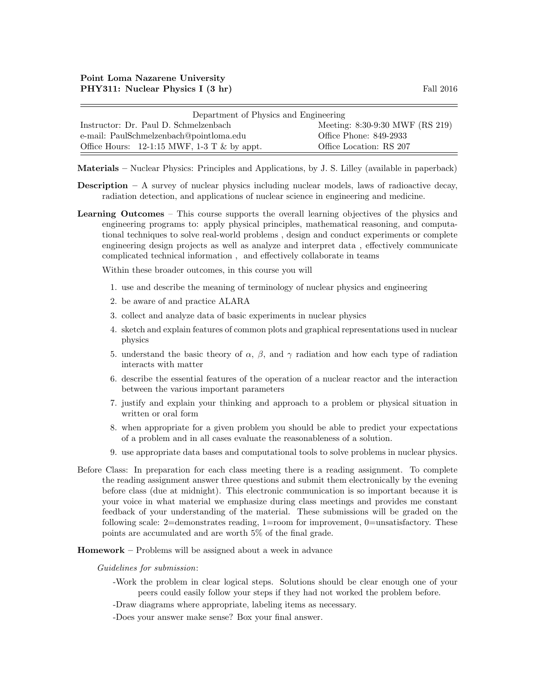| Department of Physics and Engineering                           |                                 |  |  |
|-----------------------------------------------------------------|---------------------------------|--|--|
| Instructor: Dr. Paul D. Schmelzenbach                           | Meeting: 8:30-9:30 MWF (RS 219) |  |  |
| e-mail: PaulSchmelzenbach@pointloma.edu                         | Office Phone: 849-2933          |  |  |
| Office Hours: $12{\text -}1:15$ MWF, $1{\text -}3$ T & by appt. | Office Location: RS 207         |  |  |

Materials – Nuclear Physics: Principles and Applications, by J. S. Lilley (available in paperback)

- **Description** A survey of nuclear physics including nuclear models, laws of radioactive decay, radiation detection, and applications of nuclear science in engineering and medicine.
- Learning Outcomes This course supports the overall learning objectives of the physics and engineering programs to: apply physical principles, mathematical reasoning, and computational techniques to solve real-world problems , design and conduct experiments or complete engineering design projects as well as analyze and interpret data , effectively communicate complicated technical information , and effectively collaborate in teams

Within these broader outcomes, in this course you will

- 1. use and describe the meaning of terminology of nuclear physics and engineering
- 2. be aware of and practice ALARA
- 3. collect and analyze data of basic experiments in nuclear physics
- 4. sketch and explain features of common plots and graphical representations used in nuclear physics
- 5. understand the basic theory of  $\alpha$ ,  $\beta$ , and  $\gamma$  radiation and how each type of radiation interacts with matter
- 6. describe the essential features of the operation of a nuclear reactor and the interaction between the various important parameters
- 7. justify and explain your thinking and approach to a problem or physical situation in written or oral form
- 8. when appropriate for a given problem you should be able to predict your expectations of a problem and in all cases evaluate the reasonableness of a solution.
- 9. use appropriate data bases and computational tools to solve problems in nuclear physics.
- Before Class: In preparation for each class meeting there is a reading assignment. To complete the reading assignment answer three questions and submit them electronically by the evening before class (due at midnight). This electronic communication is so important because it is your voice in what material we emphasize during class meetings and provides me constant feedback of your understanding of the material. These submissions will be graded on the following scale: 2=demonstrates reading, 1=room for improvement, 0=unsatisfactory. These points are accumulated and are worth 5% of the final grade.
- Homework Problems will be assigned about a week in advance

## Guidelines for submission:

- -Work the problem in clear logical steps. Solutions should be clear enough one of your peers could easily follow your steps if they had not worked the problem before.
- -Draw diagrams where appropriate, labeling items as necessary.
- -Does your answer make sense? Box your final answer.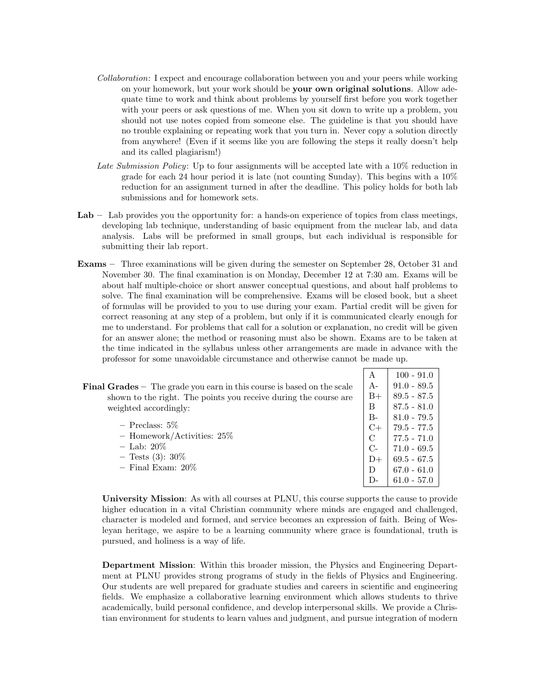- Collaboration: I expect and encourage collaboration between you and your peers while working on your homework, but your work should be your own original solutions. Allow adequate time to work and think about problems by yourself first before you work together with your peers or ask questions of me. When you sit down to write up a problem, you should not use notes copied from someone else. The guideline is that you should have no trouble explaining or repeating work that you turn in. Never copy a solution directly from anywhere! (Even if it seems like you are following the steps it really doesn't help and its called plagiarism!)
- Late Submission Policy: Up to four assignments will be accepted late with a 10% reduction in grade for each 24 hour period it is late (not counting Sunday). This begins with a  $10\%$ reduction for an assignment turned in after the deadline. This policy holds for both lab submissions and for homework sets.
- Lab Lab provides you the opportunity for: a hands-on experience of topics from class meetings, developing lab technique, understanding of basic equipment from the nuclear lab, and data analysis. Labs will be preformed in small groups, but each individual is responsible for submitting their lab report.
- Exams Three examinations will be given during the semester on September 28, October 31 and November 30. The final examination is on Monday, December 12 at 7:30 am. Exams will be about half multiple-choice or short answer conceptual questions, and about half problems to solve. The final examination will be comprehensive. Exams will be closed book, but a sheet of formulas will be provided to you to use during your exam. Partial credit will be given for correct reasoning at any step of a problem, but only if it is communicated clearly enough for me to understand. For problems that call for a solution or explanation, no credit will be given for an answer alone; the method or reasoning must also be shown. Exams are to be taken at the time indicated in the syllabus unless other arrangements are made in advance with the professor for some unavoidable circumstance and otherwise cannot be made up.

 $\vert A \vert 100 - 91.0$ 

| <b>Final Grades</b> $-$ The grade you earn in this course is based on the scale | $A-$  | $91.0 - 89.5$ |
|---------------------------------------------------------------------------------|-------|---------------|
| shown to the right. The points you receive during the course are                | $B+$  | $89.5 - 87.5$ |
| weighted accordingly:                                                           | B     | $87.5 - 81.0$ |
|                                                                                 | $B -$ | $81.0 - 79.5$ |
| $-$ Preclass: 5\%                                                               | $C+$  | $79.5 - 77.5$ |
| - Homework/Activities: $25\%$                                                   | C     | $77.5 - 71.0$ |
| $-$ Lab: 20%                                                                    | $C$ - | $71.0 - 69.5$ |
| $-$ Tests (3): 30\%                                                             | $D+$  | $69.5 - 67.5$ |
| $-$ Final Exam: $20\%$                                                          | D     | $67.0 - 61.0$ |
|                                                                                 | $D$ - | $61.0 - 57.0$ |

University Mission: As with all courses at PLNU, this course supports the cause to provide higher education in a vital Christian community where minds are engaged and challenged, character is modeled and formed, and service becomes an expression of faith. Being of Wesleyan heritage, we aspire to be a learning community where grace is foundational, truth is pursued, and holiness is a way of life.

Department Mission: Within this broader mission, the Physics and Engineering Department at PLNU provides strong programs of study in the fields of Physics and Engineering. Our students are well prepared for graduate studies and careers in scientific and engineering fields. We emphasize a collaborative learning environment which allows students to thrive academically, build personal confidence, and develop interpersonal skills. We provide a Christian environment for students to learn values and judgment, and pursue integration of modern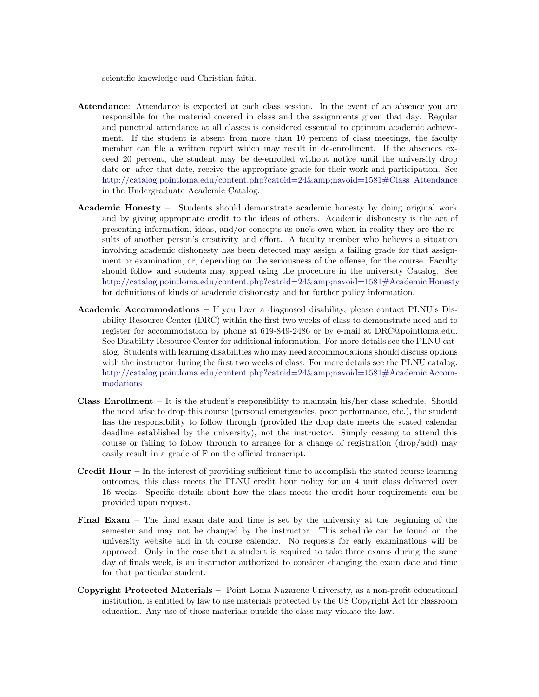scientific knowledge and Christian faith.

- Attendance: Attendance is expected at each class session. In the event of an absence you are responsible for the material covered in class and the assignments given that day. Regular and punctual attendance at all classes is considered essential to optimum academic achievement. If the student is absent from more than 10 percent of class meetings, the faculty member can file a written report which may result in de-enrollment. If the absences exceed 20 percent, the student may be de-enrolled without notice until the university drop date or, after that date, receive the appropriate grade for their work and participation. See [http://catalog.pointloma.edu/content.php?catoid=24&navoid=1581#Class Attendance](http://catalog.pointloma.edu/content.php?catoid=24&navoid=1581) in the Undergraduate Academic Catalog.
- Academic Honesty Students should demonstrate academic honesty by doing original work and by giving appropriate credit to the ideas of others. Academic dishonesty is the act of presenting information, ideas, and/or concepts as one's own when in reality they are the results of another person's creativity and effort. A faculty member who believes a situation involving academic dishonesty has been detected may assign a failing grade for that assignment or examination, or, depending on the seriousness of the offense, for the course. Faculty should follow and students may appeal using the procedure in the university Catalog. See [http://catalog.pointloma.edu/content.php?catoid=24&navoid=1581#Academic Honesty](http://catalog.pointloma.edu/content.php?catoid=24&navoid=1581) for definitions of kinds of academic dishonesty and for further policy information.
- Academic Accommodations If you have a diagnosed disability, please contact PLNU's Disability Resource Center (DRC) within the first two weeks of class to demonstrate need and to register for accommodation by phone at 619-849-2486 or by e-mail at DRC@pointloma.edu. See Disability Resource Center for additional information. For more details see the PLNU catalog. Students with learning disabilities who may need accommodations should discuss options with the instructor during the first two weeks of class. For more details see the PLNU catalog: [http://catalog.pointloma.edu/content.php?catoid=24&navoid=1581#Academic Accom](http://catalog.pointloma.edu/content.php?catoid=24&navoid=1581)[modations](http://catalog.pointloma.edu/content.php?catoid=24&navoid=1581)
- **Class Enrollment** It is the student's responsibility to maintain his/her class schedule. Should the need arise to drop this course (personal emergencies, poor performance, etc.), the student has the responsibility to follow through (provided the drop date meets the stated calendar deadline established by the university), not the instructor. Simply ceasing to attend this course or failing to follow through to arrange for a change of registration (drop/add) may easily result in a grade of F on the official transcript.
- Credit Hour In the interest of providing sufficient time to accomplish the stated course learning outcomes, this class meets the PLNU credit hour policy for an 4 unit class delivered over 16 weeks. Specific details about how the class meets the credit hour requirements can be provided upon request.
- Final Exam The final exam date and time is set by the university at the beginning of the semester and may not be changed by the instructor. This schedule can be found on the university website and in th course calendar. No requests for early examinations will be approved. Only in the case that a student is required to take three exams during the same day of finals week, is an instructor authorized to consider changing the exam date and time for that particular student.
- Copyright Protected Materials Point Loma Nazarene University, as a non-profit educational institution, is entitled by law to use materials protected by the US Copyright Act for classroom education. Any use of those materials outside the class may violate the law.